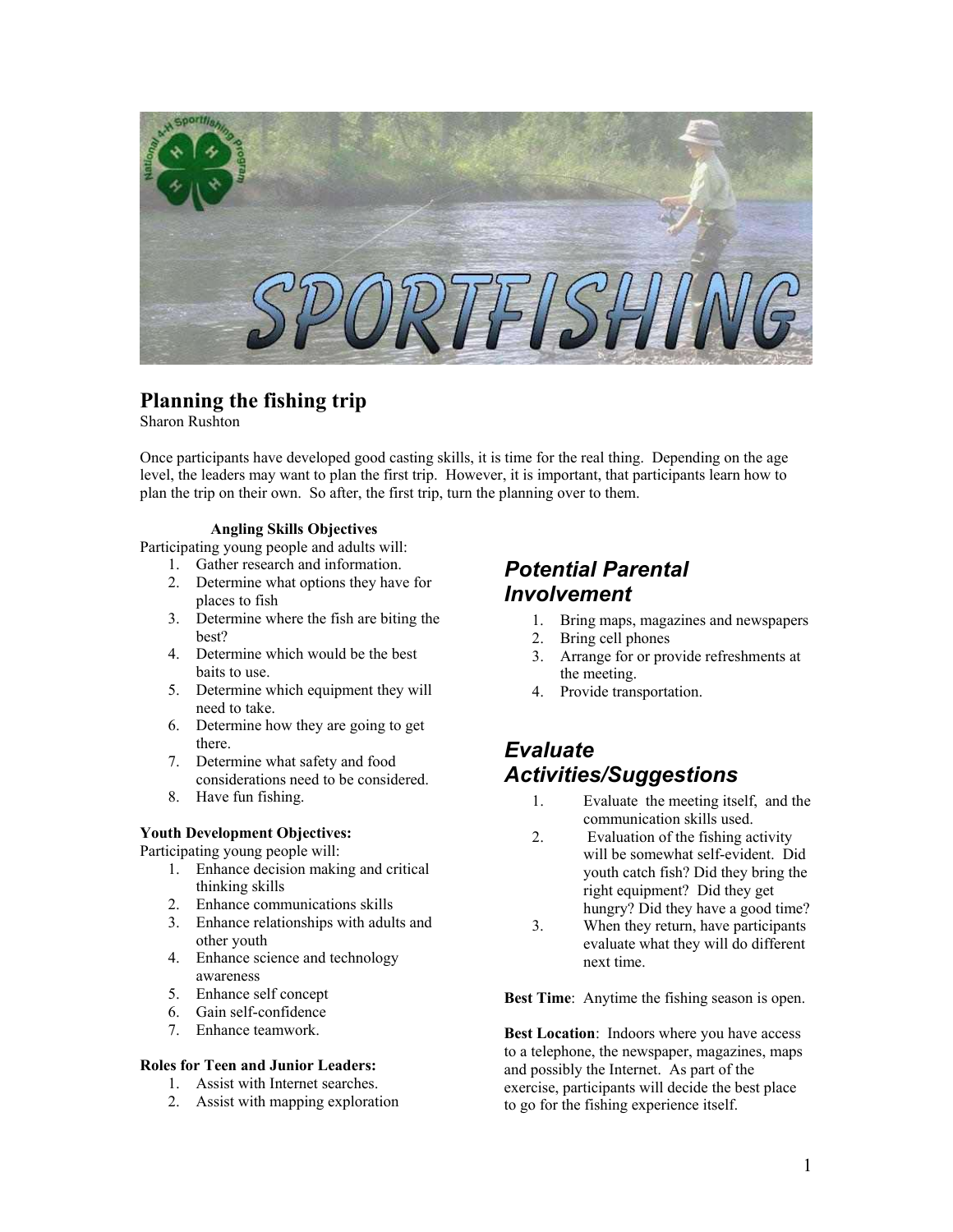

### **Planning the fishing trip**

Sharon Rushton

Once participants have developed good casting skills, it is time for the real thing. Depending on the age level, the leaders may want to plan the first trip. However, it is important, that participants learn how to plan the trip on their own. So after, the first trip, turn the planning over to them.

### **Angling Skills Objectives**

Participating young people and adults will:<br>1. Gather research and information.

- 
- 2. Determine what options they have for<br> **Involvement** places to fish
- 3. Determine where the fish are biting the best?
- 4. Determine which would be the best baits to use.
- 5. Determine which equipment they will need to take.
- 6. Determine how they are going to get
- there. **Evaluate**<br>7. Determine what safety and food considerations need to be considered.
- 

Participating young people will:

- 1. Enhance decision making and critical thinking skills
- 2. Enhance communications skills
- 3. Enhance relationships with adults and other youth
- 4. Enhance science and technology next time. awareness<br>5. Enhance self concept
- 
- 6. Gain self-confidence<br>7. Enhance teamwork.
- 

### **Roles for Teen and Junior Leaders:**

- 1. Assist with Internet searches.
- 2. Assist with mapping exploration

# 1. Gather research and information. *Potential Parental*

- 1. Bring maps, magazines and newspapers
- 2. Bring cell phones
- 3. Arrange for or provide refreshments at the meeting.
- 4. Provide transportation.

## **Activities/Suggestions**

- 8. Have fun fishing. 1. Evaluate the meeting itself, and the communication skills used
- **Figure 1 Soluth Development Objectives:** 2. Evaluation of the fishing activity will be somewhat self-evident. Did youth catch fish? Did they bring the right equipment? Did they get hungry? Did they have a good time?
	- 3. When they return, have participants evaluate what they will do different

**Best Time**: Anytime the fishing season is open.

Best Location: Indoors where you have access to a telephone, the newspaper, magazines, maps and possibly the Internet. As part of the exercise, participants will decide the best place to go for the fishing experience itself.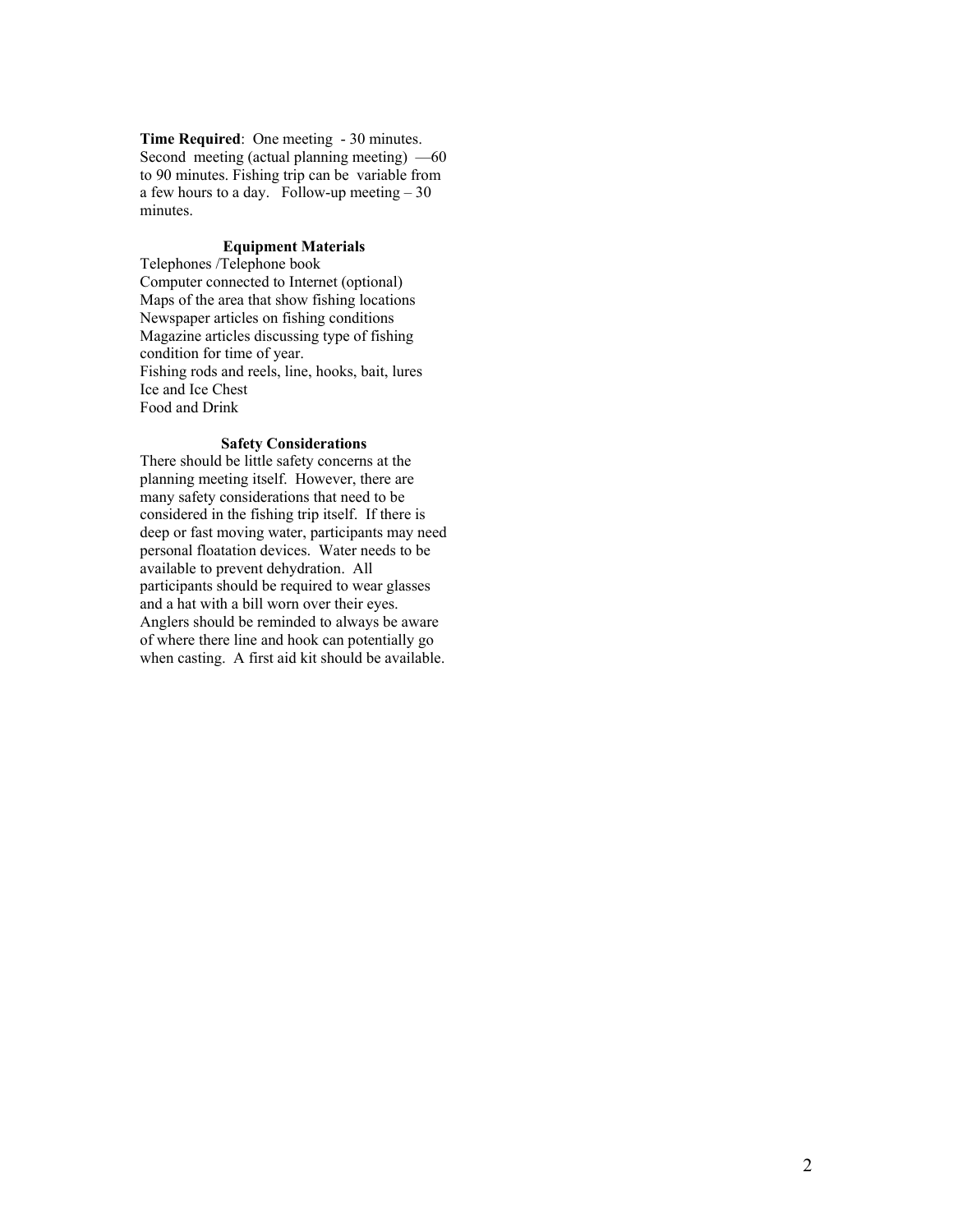**Time Required**: One meeting - 30 minutes. Second meeting (actual planning meeting) —60 to 90 minutes. Fishing trip can be variable from a few hours to a day. Follow-up meeting  $-30$ minutes.

### **Equipment Materials**

Telephones /Telephone book Computer connected to Internet (optional) Maps of the area that show fishing locations Newspaper articles on fishing conditions Magazine articles discussing type of fishing condition for time of year. Fishing rods and reels, line, hooks, bait, lures Ice and Ice Chest Food and Drink

#### **Safety Considerations**

There should be little safety concerns at the planning meeting itself. However, there are many safety considerations that need to be considered in the fishing trip itself. If there is deep or fast moving water, participants may need personal floatation devices. Water needs to be available to prevent dehydration. All participants should be required to wear glasses and a hat with a bill worn over their eyes. Anglers should be reminded to always be aware of where there line and hook can potentially go when casting. A first aid kit should be available.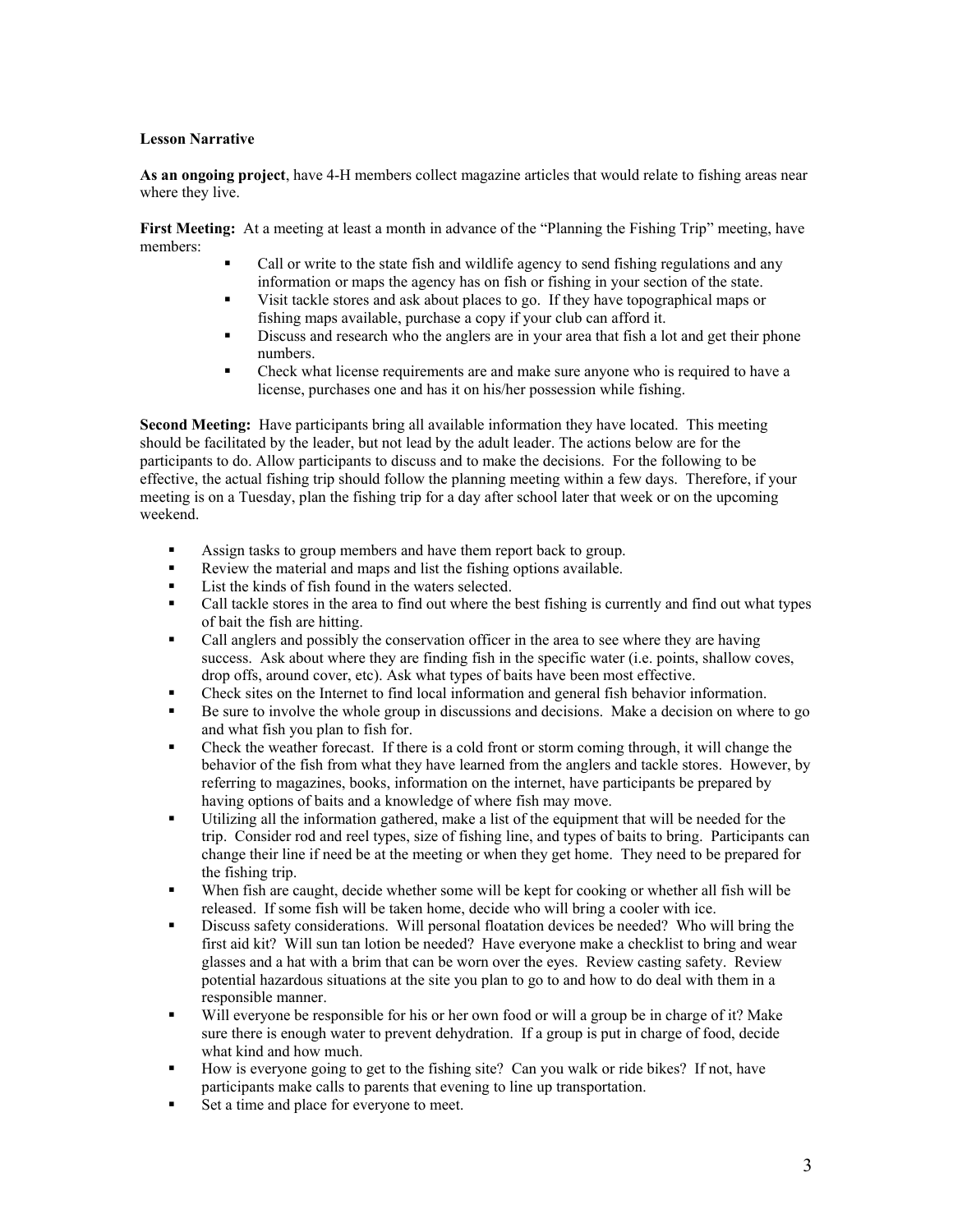### **Lesson Narrative**

**As an ongoing project**, have 4-H members collect magazine articles that would relate to fishing areas near where they live.

**First Meeting:** At a meeting at least a month in advance of the "Planning the Fishing Trip" meeting, have members:

- Call or write to the state fish and wildlife agency to send fishing regulations and any information or maps the agency has on fish or fishing in your section of the state.
- Visit tackle stores and ask about places to go. If they have topographical maps or fishing maps available, purchase a copy if your club can afford it.
- Discuss and research who the anglers are in your area that fish a lot and get their phone numbers.
- Check what license requirements are and make sure anyone who is required to have a license, purchases one and has it on his/her possession while fishing.

**Second Meeting:** Have participants bring all available information they have located. This meeting should be facilitated by the leader, but not lead by the adult leader. The actions below are for the participants to do. Allow participants to discuss and to make the decisions. For the following to be effective, the actual fishing trip should follow the planning meeting within a few days. Therefore, if your meeting is on a Tuesday, plan the fishing trip for a day after school later that week or on the upcoming weekend.

- Assign tasks to group members and have them report back to group.
- Review the material and maps and list the fishing options available.
- List the kinds of fish found in the waters selected.
- Call tackle stores in the area to find out where the best fishing is currently and find out what types of bait the fish are hitting.
- Call anglers and possibly the conservation officer in the area to see where they are having success. Ask about where they are finding fish in the specific water (i.e. points, shallow coves, drop offs, around cover, etc). Ask what types of baits have been most effective.
- Check sites on the Internet to find local information and general fish behavior information.
- Be sure to involve the whole group in discussions and decisions. Make a decision on where to go and what fish you plan to fish for.
- Check the weather forecast. If there is a cold front or storm coming through, it will change the behavior of the fish from what they have learned from the anglers and tackle stores. However, by referring to magazines, books, information on the internet, have participants be prepared by having options of baits and a knowledge of where fish may move.
- Utilizing all the information gathered, make a list of the equipment that will be needed for the trip. Consider rod and reel types, size of fishing line, and types of baits to bring. Participants can change their line if need be at the meeting or when they get home. They need to be prepared for the fishing trip.
- When fish are caught, decide whether some will be kept for cooking or whether all fish will be released. If some fish will be taken home, decide who will bring a cooler with ice.
- Discuss safety considerations. Will personal floatation devices be needed? Who will bring the first aid kit? Will sun tan lotion be needed? Have everyone make a checklist to bring and wear glasses and a hat with a brim that can be worn over the eyes. Review casting safety. Review potential hazardous situations at the site you plan to go to and how to do deal with them in a responsible manner.
- Will everyone be responsible for his or her own food or will a group be in charge of it? Make sure there is enough water to prevent dehydration. If a group is put in charge of food, decide what kind and how much.
- How is everyone going to get to the fishing site? Can you walk or ride bikes? If not, have participants make calls to parents that evening to line up transportation.
- Set a time and place for everyone to meet.